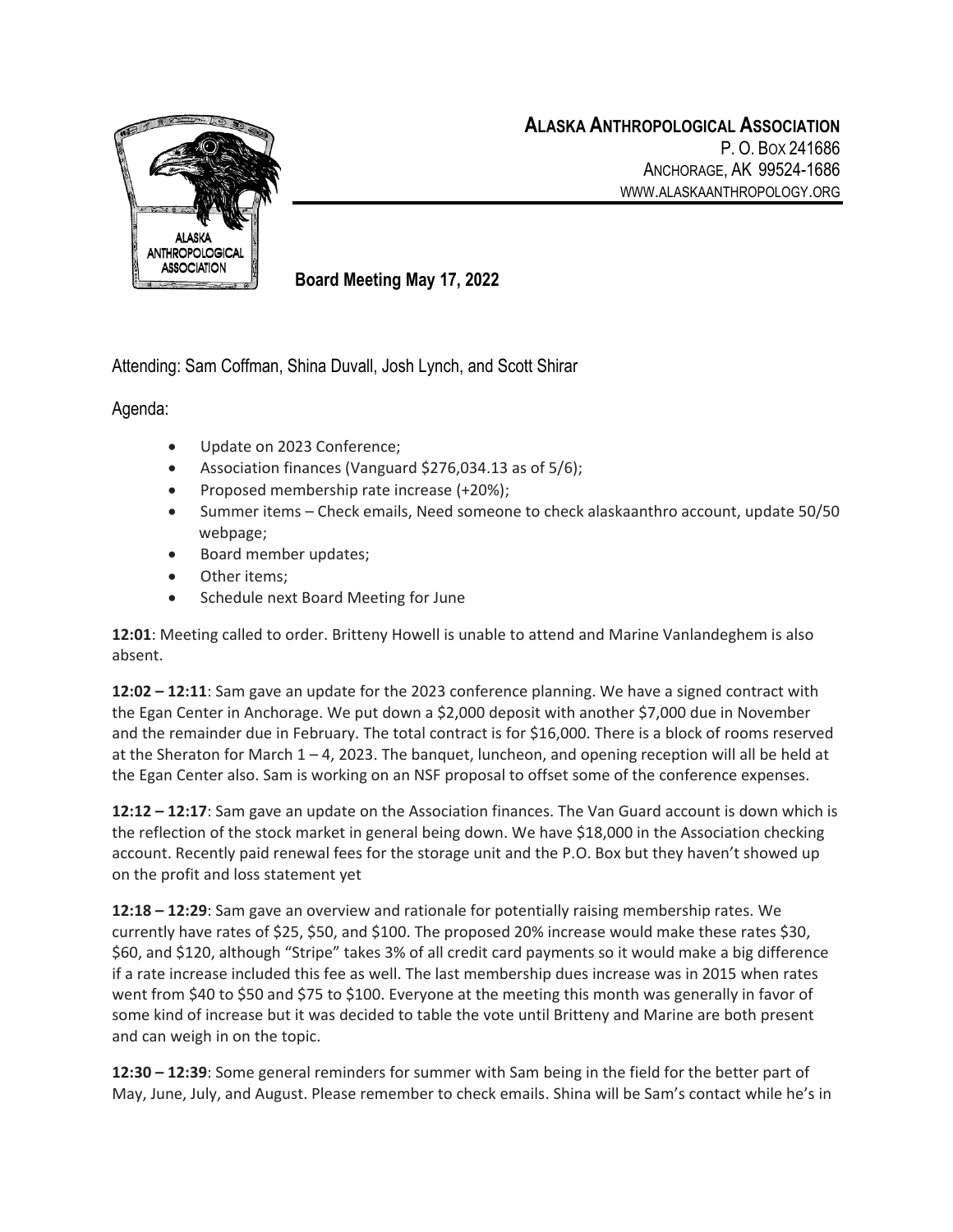

**Board Meeting May 17, 2022**

Attending: Sam Coffman, Shina Duvall, Josh Lynch, and Scott Shirar

Agenda:

- Update on 2023 Conference;
- Association finances (Vanguard \$276,034.13 as of 5/6);
- Proposed membership rate increase (+20%);
- Summer items Check emails, Need someone to check alaskaanthro account, update 50/50 webpage;
- Board member updates;
- Other items;
- Schedule next Board Meeting for June

**12:01**: Meeting called to order. Britteny Howell is unable to attend and Marine Vanlandeghem is also absent.

**12:02 – 12:11**: Sam gave an update for the 2023 conference planning. We have a signed contract with the Egan Center in Anchorage. We put down a \$2,000 deposit with another \$7,000 due in November and the remainder due in February. The total contract is for \$16,000. There is a block of rooms reserved at the Sheraton for March 1 – 4, 2023. The banquet, luncheon, and opening reception will all be held at the Egan Center also. Sam is working on an NSF proposal to offset some of the conference expenses.

**12:12 – 12:17**: Sam gave an update on the Association finances. The Van Guard account is down which is the reflection of the stock market in general being down. We have \$18,000 in the Association checking account. Recently paid renewal fees for the storage unit and the P.O. Box but they haven't showed up on the profit and loss statement yet

**12:18 – 12:29**: Sam gave an overview and rationale for potentially raising membership rates. We currently have rates of \$25, \$50, and \$100. The proposed 20% increase would make these rates \$30, \$60, and \$120, although "Stripe" takes 3% of all credit card payments so it would make a big difference if a rate increase included this fee as well. The last membership dues increase was in 2015 when rates went from \$40 to \$50 and \$75 to \$100. Everyone at the meeting this month was generally in favor of some kind of increase but it was decided to table the vote until Britteny and Marine are both present and can weigh in on the topic.

**12:30 – 12:39**: Some general reminders for summer with Sam being in the field for the better part of May, June, July, and August. Please remember to check emails. Shina will be Sam's contact while he's in